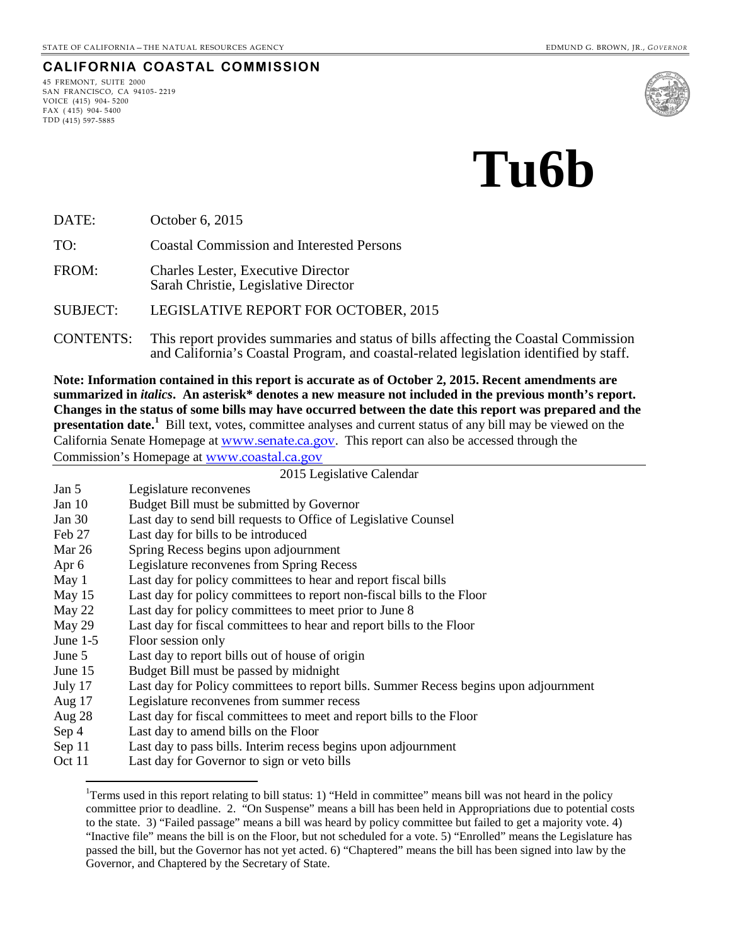#### **CALIFORNIA COASTAL COMMISSION**

45 FREMONT, SUITE 2000 SAN FRANCISCO, CA 94105- 2219 VOICE (415) 904- 5200 FAX ( 415) 904- 5400 TDD (415) 597-5885



# **Tu6b**

DATE: October 6, 2015

TO: Coastal Commission and Interested Persons

FROM: Charles Lester, Executive Director Sarah Christie, Legislative Director

SUBJECT: LEGISLATIVE REPORT FOR OCTOBER, 2015

CONTENTS: This report provides summaries and status of bills affecting the Coastal Commission and California's Coastal Program, and coastal-related legislation identified by staff.

**Note: Information contained in this report is accurate as of October 2, 2015. Recent amendments are summarized in** *italics***. An asterisk\* denotes a new measure not included in the previous month's report. Changes in the status of some bills may have occurred between the date this report was prepared and the presentation date.**<sup>[1](#page-0-0)</sup> Bill text, votes, committee analyses and current status of any bill may be viewed on the California Senate Homepage at [www.senate.ca.gov](http://www.senate.ca.gov/). This report can also be accessed through the Commission's Homepage at [www.coastal.ca.gov](http://www.coastal.ca.gov/)

2015 Legislative Calendar

| Jan 5 | Legislature reconvenes |  |
|-------|------------------------|--|
|       |                        |  |

- Jan 10 Budget Bill must be submitted by Governor
- Jan 30 Last day to send bill requests to Office of Legislative Counsel
- Feb 27 Last day for bills to be introduced
- Mar 26 Spring Recess begins upon adjournment
- Apr 6 Legislature reconvenes from Spring Recess
- May 1 Last day for policy committees to hear and report fiscal bills
- May 15 Last day for policy committees to report non-fiscal bills to the Floor
- 
- May 22 Last day for policy committees to meet prior to June 8<br>May 29 Last day for fiscal committees to hear and report bills t Last day for fiscal committees to hear and report bills to the Floor
- June 1-5 Floor session only

 $\overline{a}$ 

- June 5 Last day to report bills out of house of origin
- June 15 Budget Bill must be passed by midnight
- July 17 Last day for Policy committees to report bills. Summer Recess begins upon adjournment
- Aug 17 Legislature reconvenes from summer recess
- Aug 28 Last day for fiscal committees to meet and report bills to the Floor
- Sep 4 Last day to amend bills on the Floor
- Sep 11 Last day to pass bills. Interim recess begins upon adjournment
- <span id="page-0-0"></span>Oct 11 Last day for Governor to sign or veto bills

<sup>&</sup>lt;sup>1</sup>Terms used in this report relating to bill status: 1) "Held in committee" means bill was not heard in the policy committee prior to deadline. 2. "On Suspense" means a bill has been held in Appropriations due to potential costs to the state. 3) "Failed passage" means a bill was heard by policy committee but failed to get a majority vote. 4) "Inactive file" means the bill is on the Floor, but not scheduled for a vote. 5) "Enrolled" means the Legislature has passed the bill, but the Governor has not yet acted. 6) "Chaptered" means the bill has been signed into law by the Governor, and Chaptered by the Secretary of State.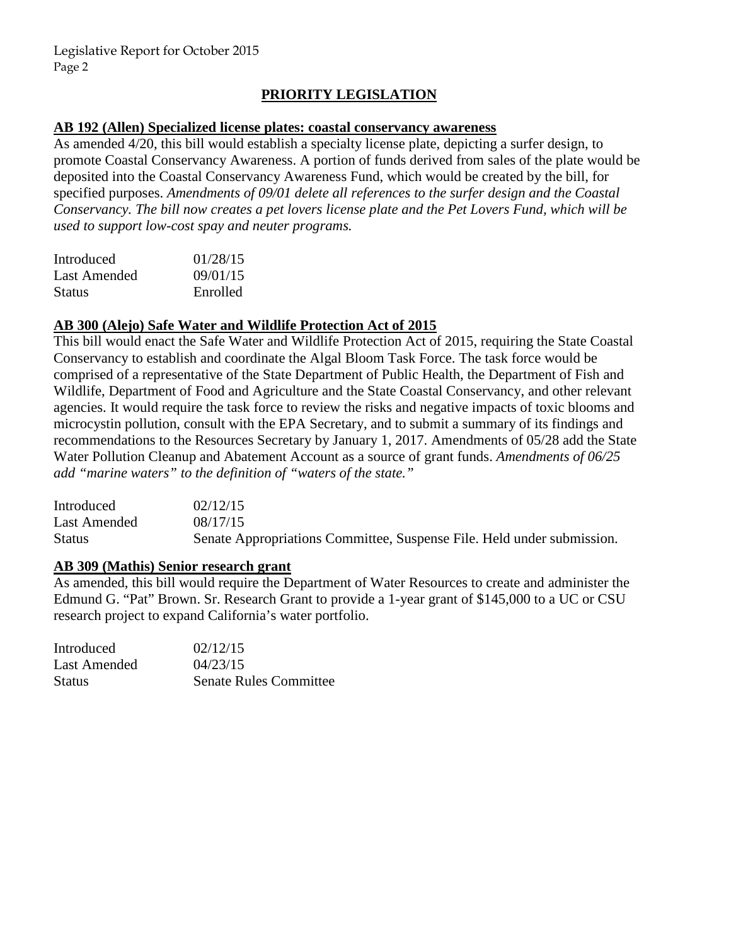## **PRIORITY LEGISLATION**

#### **AB 192 (Allen) Specialized license plates: coastal conservancy awareness**

As amended 4/20, this bill would establish a specialty license plate, depicting a surfer design, to promote Coastal Conservancy Awareness. A portion of funds derived from sales of the plate would be deposited into the Coastal Conservancy Awareness Fund, which would be created by the bill, for specified purposes. *Amendments of 09/01 delete all references to the surfer design and the Coastal Conservancy. The bill now creates a pet lovers license plate and the Pet Lovers Fund, which will be used to support low-cost spay and neuter programs.* 

| Introduced    | 01/28/15 |
|---------------|----------|
| Last Amended  | 09/01/15 |
| <b>Status</b> | Enrolled |

#### **AB 300 (Alejo) Safe Water and Wildlife Protection Act of 2015**

This bill would enact the Safe Water and Wildlife Protection Act of 2015, requiring the State Coastal Conservancy to establish and coordinate the Algal Bloom Task Force. The task force would be comprised of a representative of the State Department of Public Health, the Department of Fish and Wildlife, Department of Food and Agriculture and the State Coastal Conservancy, and other relevant agencies. It would require the task force to review the risks and negative impacts of toxic blooms and microcystin pollution, consult with the EPA Secretary, and to submit a summary of its findings and recommendations to the Resources Secretary by January 1, 2017. Amendments of 05/28 add the State Water Pollution Cleanup and Abatement Account as a source of grant funds. *Amendments of 06/25 add "marine waters" to the definition of "waters of the state."* 

| Introduced    | 02/12/15                                                               |
|---------------|------------------------------------------------------------------------|
| Last Amended  | 08/17/15                                                               |
| <b>Status</b> | Senate Appropriations Committee, Suspense File. Held under submission. |

## **AB 309 (Mathis) Senior research grant**

As amended, this bill would require the Department of Water Resources to create and administer the Edmund G. "Pat" Brown. Sr. Research Grant to provide a 1-year grant of \$145,000 to a UC or CSU research project to expand California's water portfolio.

| <b>Introduced</b> | 02/12/15                      |
|-------------------|-------------------------------|
| Last Amended      | 04/23/15                      |
| Status            | <b>Senate Rules Committee</b> |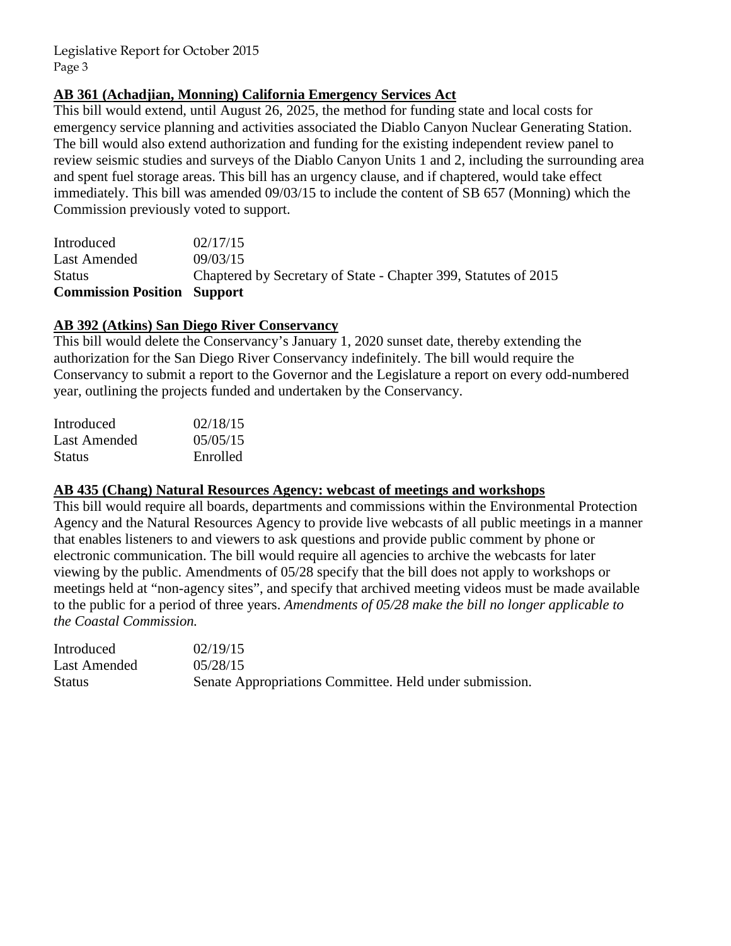# **AB 361 (Achadjian, Monning) California Emergency Services Act**

This bill would extend, until August 26, 2025, the method for funding state and local costs for emergency service planning and activities associated the Diablo Canyon Nuclear Generating Station. The bill would also extend authorization and funding for the existing independent review panel to review seismic studies and surveys of the Diablo Canyon Units 1 and 2, including the surrounding area and spent fuel storage areas. This bill has an urgency clause, and if chaptered, would take effect immediately. This bill was amended 09/03/15 to include the content of SB 657 (Monning) which the Commission previously voted to support.

| <b>Commission Position Support</b> |                                                                 |
|------------------------------------|-----------------------------------------------------------------|
| <b>Status</b>                      | Chaptered by Secretary of State - Chapter 399, Statutes of 2015 |
| Last Amended                       | 09/03/15                                                        |
| Introduced                         | 02/17/15                                                        |

## **AB 392 (Atkins) San Diego River Conservancy**

This bill would delete the Conservancy's January 1, 2020 sunset date, thereby extending the authorization for the San Diego River Conservancy indefinitely. The bill would require the Conservancy to submit a report to the Governor and the Legislature a report on every odd-numbered year, outlining the projects funded and undertaken by the Conservancy.

| Introduced    | 02/18/15 |
|---------------|----------|
| Last Amended  | 05/05/15 |
| <b>Status</b> | Enrolled |

#### **AB 435 (Chang) Natural Resources Agency: webcast of meetings and workshops**

This bill would require all boards, departments and commissions within the Environmental Protection Agency and the Natural Resources Agency to provide live webcasts of all public meetings in a manner that enables listeners to and viewers to ask questions and provide public comment by phone or electronic communication. The bill would require all agencies to archive the webcasts for later viewing by the public. Amendments of 05/28 specify that the bill does not apply to workshops or meetings held at "non-agency sites", and specify that archived meeting videos must be made available to the public for a period of three years. *Amendments of 05/28 make the bill no longer applicable to the Coastal Commission.* 

| Introduced   | 02/19/15                                                |
|--------------|---------------------------------------------------------|
| Last Amended | 05/28/15                                                |
| Status       | Senate Appropriations Committee. Held under submission. |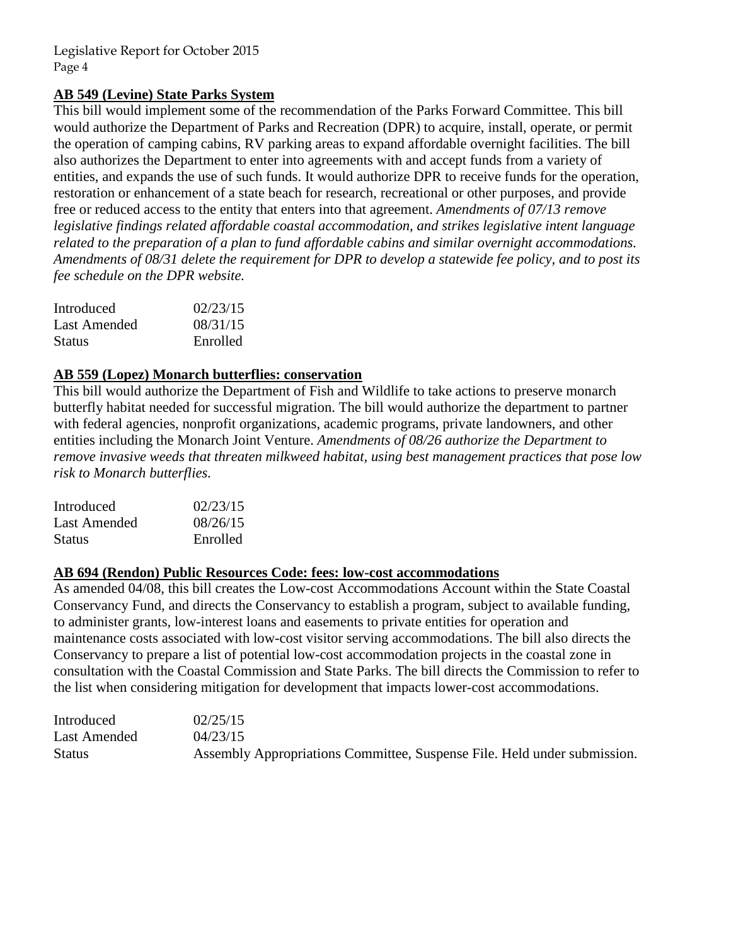## **AB 549 (Levine) State Parks System**

This bill would implement some of the recommendation of the Parks Forward Committee. This bill would authorize the Department of Parks and Recreation (DPR) to acquire, install, operate, or permit the operation of camping cabins, RV parking areas to expand affordable overnight facilities. The bill also authorizes the Department to enter into agreements with and accept funds from a variety of entities, and expands the use of such funds. It would authorize DPR to receive funds for the operation, restoration or enhancement of a state beach for research, recreational or other purposes, and provide free or reduced access to the entity that enters into that agreement. *Amendments of 07/13 remove legislative findings related affordable coastal accommodation, and strikes legislative intent language related to the preparation of a plan to fund affordable cabins and similar overnight accommodations. Amendments of 08/31 delete the requirement for DPR to develop a statewide fee policy, and to post its fee schedule on the DPR website.*

| Introduced    | 02/23/15 |
|---------------|----------|
| Last Amended  | 08/31/15 |
| <b>Status</b> | Enrolled |

#### **AB 559 (Lopez) Monarch butterflies: conservation**

This bill would authorize the Department of Fish and Wildlife to take actions to preserve monarch butterfly habitat needed for successful migration. The bill would authorize the department to partner with federal agencies, nonprofit organizations, academic programs, private landowners, and other entities including the Monarch Joint Venture. *Amendments of 08/26 authorize the Department to remove invasive weeds that threaten milkweed habitat, using best management practices that pose low risk to Monarch butterflies.* 

| Introduced    | 02/23/15 |
|---------------|----------|
| Last Amended  | 08/26/15 |
| <b>Status</b> | Enrolled |

# **AB 694 (Rendon) Public Resources Code: fees: low-cost accommodations**

As amended 04/08, this bill creates the Low-cost Accommodations Account within the State Coastal Conservancy Fund, and directs the Conservancy to establish a program, subject to available funding, to administer grants, low-interest loans and easements to private entities for operation and maintenance costs associated with low-cost visitor serving accommodations. The bill also directs the Conservancy to prepare a list of potential low-cost accommodation projects in the coastal zone in consultation with the Coastal Commission and State Parks. The bill directs the Commission to refer to the list when considering mitigation for development that impacts lower-cost accommodations.

| Introduced    | 02/25/15                                                                 |
|---------------|--------------------------------------------------------------------------|
| Last Amended  | 04/23/15                                                                 |
| <b>Status</b> | Assembly Appropriations Committee, Suspense File. Held under submission. |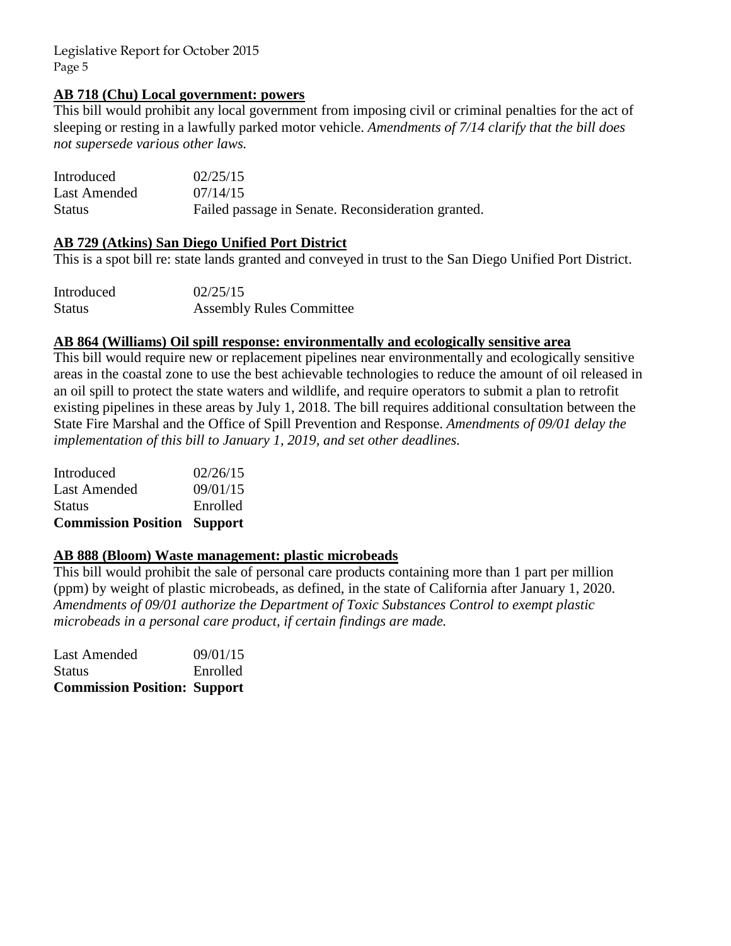### **AB 718 (Chu) Local government: powers**

This bill would prohibit any local government from imposing civil or criminal penalties for the act of sleeping or resting in a lawfully parked motor vehicle. *Amendments of 7/14 clarify that the bill does not supersede various other laws.* 

| Introduced    | 02/25/15                                           |
|---------------|----------------------------------------------------|
| Last Amended  | 07/14/15                                           |
| <b>Status</b> | Failed passage in Senate. Reconsideration granted. |

## **AB 729 (Atkins) San Diego Unified Port District**

This is a spot bill re: state lands granted and conveyed in trust to the San Diego Unified Port District.

| Introduced    | 02/25/15                        |
|---------------|---------------------------------|
| <b>Status</b> | <b>Assembly Rules Committee</b> |

#### **AB 864 (Williams) Oil spill response: environmentally and ecologically sensitive area**

This bill would require new or replacement pipelines near environmentally and ecologically sensitive areas in the coastal zone to use the best achievable technologies to reduce the amount of oil released in an oil spill to protect the state waters and wildlife, and require operators to submit a plan to retrofit existing pipelines in these areas by July 1, 2018. The bill requires additional consultation between the State Fire Marshal and the Office of Spill Prevention and Response. *Amendments of 09/01 delay the implementation of this bill to January 1, 2019, and set other deadlines.*

| <b>Commission Position Support</b> |          |
|------------------------------------|----------|
| <b>Status</b>                      | Enrolled |
| Last Amended                       | 09/01/15 |
| Introduced                         | 02/26/15 |
|                                    |          |

#### **AB 888 (Bloom) Waste management: plastic microbeads**

This bill would prohibit the sale of personal care products containing more than 1 part per million (ppm) by weight of plastic microbeads, as defined, in the state of California after January 1, 2020. *Amendments of 09/01 authorize the Department of Toxic Substances Control to exempt plastic microbeads in a personal care product, if certain findings are made.*

Last Amended 09/01/15 Status Enrolled **Commission Position: Support**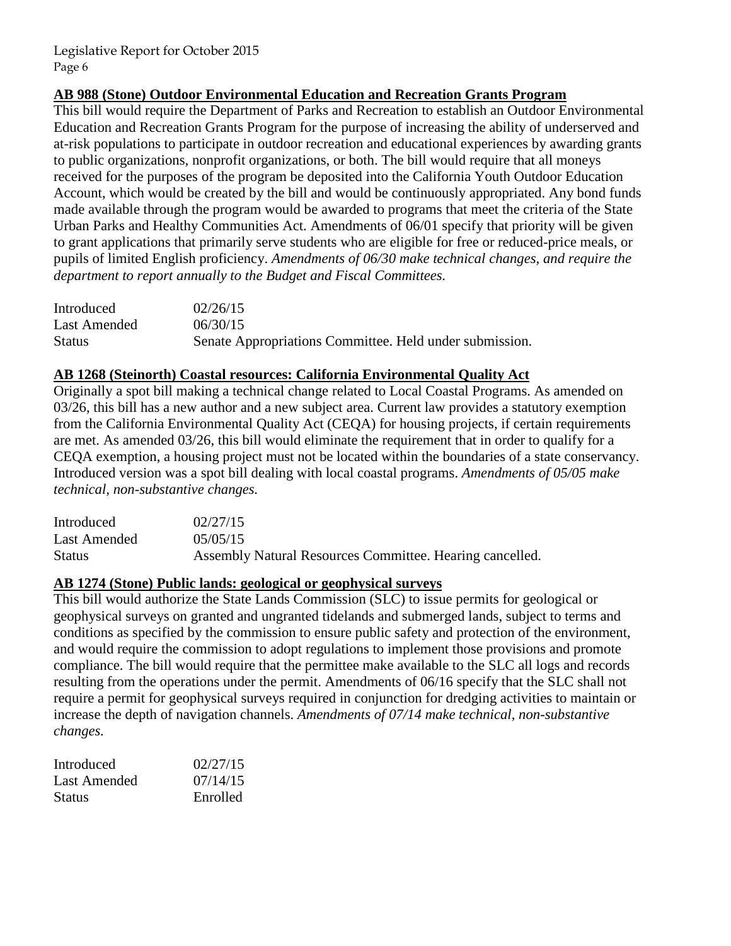## **AB 988 (Stone) Outdoor Environmental Education and Recreation Grants Program**

This bill would require the Department of Parks and Recreation to establish an Outdoor Environmental Education and Recreation Grants Program for the purpose of increasing the ability of underserved and at-risk populations to participate in outdoor recreation and educational experiences by awarding grants to public organizations, nonprofit organizations, or both. The bill would require that all moneys received for the purposes of the program be deposited into the California Youth Outdoor Education Account, which would be created by the bill and would be continuously appropriated. Any bond funds made available through the program would be awarded to programs that meet the criteria of the State Urban Parks and Healthy Communities Act. Amendments of 06/01 specify that priority will be given to grant applications that primarily serve students who are eligible for free or reduced-price meals, or pupils of limited English proficiency. *Amendments of 06/30 make technical changes, and require the department to report annually to the Budget and Fiscal Committees.* 

| Introduced    | 02/26/15                                                |
|---------------|---------------------------------------------------------|
| Last Amended  | 06/30/15                                                |
| <b>Status</b> | Senate Appropriations Committee. Held under submission. |

## **AB 1268 (Steinorth) Coastal resources: California Environmental Quality Act**

Originally a spot bill making a technical change related to Local Coastal Programs. As amended on 03/26, this bill has a new author and a new subject area. Current law provides a statutory exemption from the California Environmental Quality Act (CEQA) for housing projects, if certain requirements are met. As amended 03/26, this bill would eliminate the requirement that in order to qualify for a CEQA exemption, a housing project must not be located within the boundaries of a state conservancy. Introduced version was a spot bill dealing with local coastal programs. *Amendments of 05/05 make technical, non-substantive changes.* 

| Introduced   | 02/27/15                                                 |
|--------------|----------------------------------------------------------|
| Last Amended | 05/05/15                                                 |
| Status       | Assembly Natural Resources Committee. Hearing cancelled. |

#### **AB 1274 (Stone) Public lands: geological or geophysical surveys**

This bill would authorize the State Lands Commission (SLC) to issue permits for geological or geophysical surveys on granted and ungranted tidelands and submerged lands, subject to terms and conditions as specified by the commission to ensure public safety and protection of the environment, and would require the commission to adopt regulations to implement those provisions and promote compliance. The bill would require that the permittee make available to the SLC all logs and records resulting from the operations under the permit. Amendments of 06/16 specify that the SLC shall not require a permit for geophysical surveys required in conjunction for dredging activities to maintain or increase the depth of navigation channels. *Amendments of 07/14 make technical, non-substantive changes.* 

| Introduced    | 02/27/15 |
|---------------|----------|
| Last Amended  | 07/14/15 |
| <b>Status</b> | Enrolled |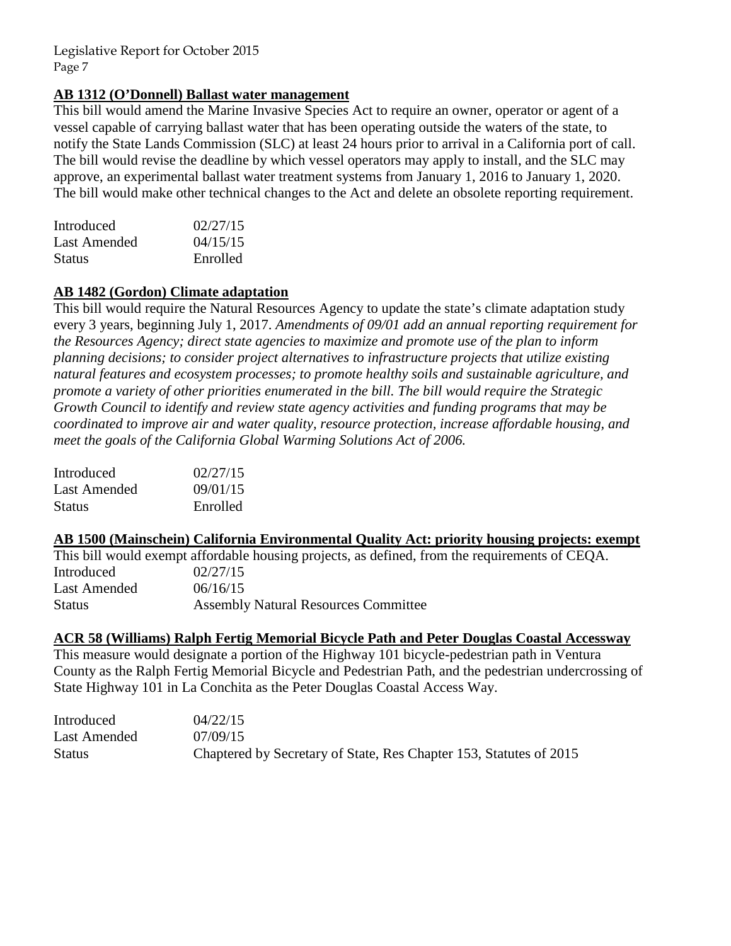## **AB 1312 (O'Donnell) Ballast water management**

This bill would amend the Marine Invasive Species Act to require an owner, operator or agent of a vessel capable of carrying ballast water that has been operating outside the waters of the state, to notify the State Lands Commission (SLC) at least 24 hours prior to arrival in a California port of call. The bill would revise the deadline by which vessel operators may apply to install, and the SLC may approve, an experimental ballast water treatment systems from January 1, 2016 to January 1, 2020. The bill would make other technical changes to the Act and delete an obsolete reporting requirement.

| Introduced    | 02/27/15 |
|---------------|----------|
| Last Amended  | 04/15/15 |
| <b>Status</b> | Enrolled |

## **AB 1482 (Gordon) Climate adaptation**

This bill would require the Natural Resources Agency to update the state's climate adaptation study every 3 years, beginning July 1, 2017. *Amendments of 09/01 add an annual reporting requirement for the Resources Agency; direct state agencies to maximize and promote use of the plan to inform planning decisions; to consider project alternatives to infrastructure projects that utilize existing natural features and ecosystem processes; to promote healthy soils and sustainable agriculture, and promote a variety of other priorities enumerated in the bill. The bill would require the Strategic Growth Council to identify and review state agency activities and funding programs that may be coordinated to improve air and water quality, resource protection, increase affordable housing, and meet the goals of the California Global Warming Solutions Act of 2006.* 

| 02/27/15 |
|----------|
| 09/01/15 |
| Enrolled |
|          |

#### **AB 1500 (Mainschein) California Environmental Quality Act: priority housing projects: exempt**

This bill would exempt affordable housing projects, as defined, from the requirements of CEQA. Introduced 02/27/15 Last Amended  $06/16/15$ Status Assembly Natural Resources Committee

#### **ACR 58 (Williams) Ralph Fertig Memorial Bicycle Path and Peter Douglas Coastal Accessway**

This measure would designate a portion of the Highway 101 bicycle-pedestrian path in Ventura County as the Ralph Fertig Memorial Bicycle and Pedestrian Path, and the pedestrian undercrossing of State Highway 101 in La Conchita as the Peter Douglas Coastal Access Way.

| Introduced    | 04/22/15                                                           |
|---------------|--------------------------------------------------------------------|
| Last Amended  | 07/09/15                                                           |
| <b>Status</b> | Chaptered by Secretary of State, Res Chapter 153, Statutes of 2015 |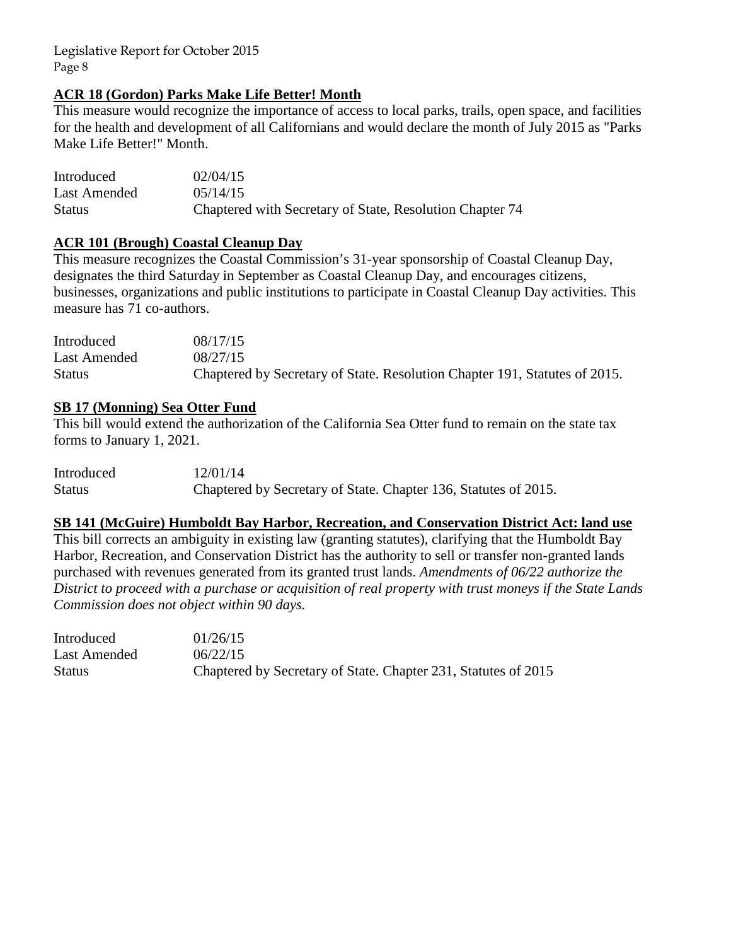## **ACR 18 (Gordon) Parks Make Life Better! Month**

This measure would recognize the importance of access to local parks, trails, open space, and facilities for the health and development of all Californians and would declare the month of July 2015 as "Parks Make Life Better!" Month.

| Introduced   | 02/04/15                                                 |
|--------------|----------------------------------------------------------|
| Last Amended | 0.5/14/15                                                |
| Status       | Chaptered with Secretary of State, Resolution Chapter 74 |

## **ACR 101 (Brough) Coastal Cleanup Day**

This measure recognizes the Coastal Commission's 31-year sponsorship of Coastal Cleanup Day, designates the third Saturday in September as Coastal Cleanup Day, and encourages citizens, businesses, organizations and public institutions to participate in Coastal Cleanup Day activities. This measure has 71 co-authors.

| Introduced    | 08/17/15                                                                   |
|---------------|----------------------------------------------------------------------------|
| Last Amended  | 08/27/15                                                                   |
| <b>Status</b> | Chaptered by Secretary of State. Resolution Chapter 191, Statutes of 2015. |

#### **SB 17 (Monning) Sea Otter Fund**

This bill would extend the authorization of the California Sea Otter fund to remain on the state tax forms to January 1, 2021.

| Introduced    | 12/01/14                                                        |
|---------------|-----------------------------------------------------------------|
| <b>Status</b> | Chaptered by Secretary of State. Chapter 136, Statutes of 2015. |

# **SB 141 (McGuire) Humboldt Bay Harbor, Recreation, and Conservation District Act: land use**

This bill corrects an ambiguity in existing law (granting statutes), clarifying that the Humboldt Bay Harbor, Recreation, and Conservation District has the authority to sell or transfer non-granted lands purchased with revenues generated from its granted trust lands. *Amendments of 06/22 authorize the District to proceed with a purchase or acquisition of real property with trust moneys if the State Lands Commission does not object within 90 days.* 

| Introduced    | 01/26/15                                                       |
|---------------|----------------------------------------------------------------|
| Last Amended  | 06/22/15                                                       |
| <b>Status</b> | Chaptered by Secretary of State. Chapter 231, Statutes of 2015 |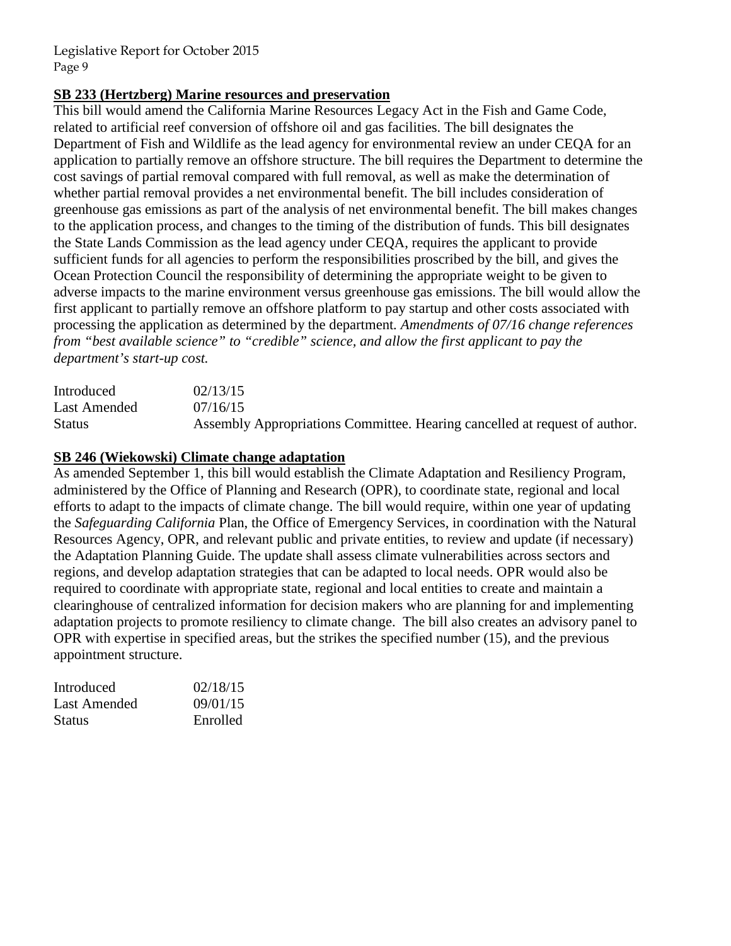## **SB 233 (Hertzberg) Marine resources and preservation**

This bill would amend the California Marine Resources Legacy Act in the Fish and Game Code, related to artificial reef conversion of offshore oil and gas facilities. The bill designates the Department of Fish and Wildlife as the lead agency for environmental review an under CEQA for an application to partially remove an offshore structure. The bill requires the Department to determine the cost savings of partial removal compared with full removal, as well as make the determination of whether partial removal provides a net environmental benefit. The bill includes consideration of greenhouse gas emissions as part of the analysis of net environmental benefit. The bill makes changes to the application process, and changes to the timing of the distribution of funds. This bill designates the State Lands Commission as the lead agency under CEQA, requires the applicant to provide sufficient funds for all agencies to perform the responsibilities proscribed by the bill, and gives the Ocean Protection Council the responsibility of determining the appropriate weight to be given to adverse impacts to the marine environment versus greenhouse gas emissions. The bill would allow the first applicant to partially remove an offshore platform to pay startup and other costs associated with processing the application as determined by the department*. Amendments of 07/16 change references from "best available science" to "credible" science, and allow the first applicant to pay the department's start-up cost.* 

| Introduced    | 02/13/15                                                                   |
|---------------|----------------------------------------------------------------------------|
| Last Amended  | 07/16/15                                                                   |
| <b>Status</b> | Assembly Appropriations Committee. Hearing cancelled at request of author. |

## **SB 246 (Wiekowski) Climate change adaptation**

As amended September 1, this bill would establish the Climate Adaptation and Resiliency Program, administered by the Office of Planning and Research (OPR), to coordinate state, regional and local efforts to adapt to the impacts of climate change. The bill would require, within one year of updating the *Safeguarding California* Plan, the Office of Emergency Services, in coordination with the Natural Resources Agency, OPR, and relevant public and private entities, to review and update (if necessary) the Adaptation Planning Guide. The update shall assess climate vulnerabilities across sectors and regions, and develop adaptation strategies that can be adapted to local needs. OPR would also be required to coordinate with appropriate state, regional and local entities to create and maintain a clearinghouse of centralized information for decision makers who are planning for and implementing adaptation projects to promote resiliency to climate change. The bill also creates an advisory panel to OPR with expertise in specified areas, but the strikes the specified number (15), and the previous appointment structure.

| Introduced    | 02/18/15 |
|---------------|----------|
| Last Amended  | 09/01/15 |
| <b>Status</b> | Enrolled |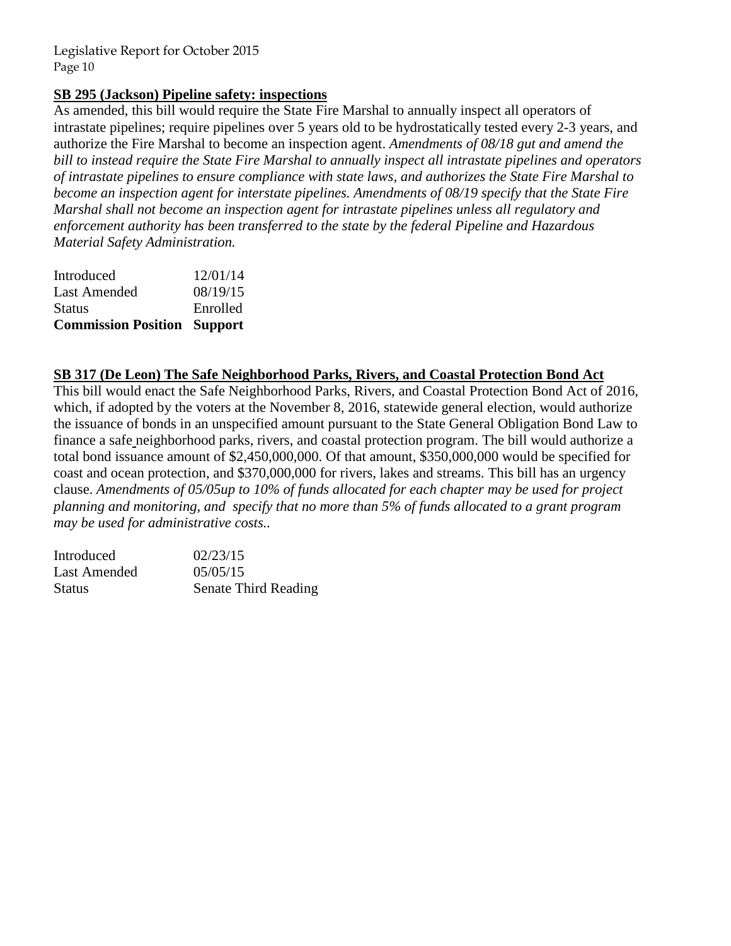## **SB 295 (Jackson) Pipeline safety: inspections**

As amended, this bill would require the State Fire Marshal to annually inspect all operators of intrastate pipelines; require pipelines over 5 years old to be hydrostatically tested every 2-3 years, and authorize the Fire Marshal to become an inspection agent. *Amendments of 08/18 gut and amend the bill to instead require the State Fire Marshal to annually inspect all intrastate pipelines and operators of intrastate pipelines to ensure compliance with state laws, and authorizes the State Fire Marshal to become an inspection agent for interstate pipelines. Amendments of 08/19 specify that the State Fire Marshal shall not become an inspection agent for intrastate pipelines unless all regulatory and enforcement authority has been transferred to the state by the federal Pipeline and Hazardous Material Safety Administration.*

| <b>Commission Position Support</b> |          |
|------------------------------------|----------|
| <b>Status</b>                      | Enrolled |
| Last Amended                       | 08/19/15 |
| Introduced                         | 12/01/14 |

#### **SB 317 (De Leon) The Safe Neighborhood Parks, Rivers, and Coastal Protection Bond Act**

This bill would enact the Safe Neighborhood Parks, Rivers, and Coastal Protection Bond Act of 2016, which, if adopted by the voters at the November 8, 2016, statewide general election, would authorize the issuance of bonds in an unspecified amount pursuant to the State General Obligation Bond Law to finance a safe neighborhood parks, rivers, and coastal protection program. The bill would authorize a total bond issuance amount of \$2,450,000,000. Of that amount, \$350,000,000 would be specified for coast and ocean protection, and \$370,000,000 for rivers, lakes and streams. This bill has an urgency clause. *Amendments of 05/05up to 10% of funds allocated for each chapter may be used for project planning and monitoring, and specify that no more than 5% of funds allocated to a grant program may be used for administrative costs..* 

| Introduced   | 02/23/15             |
|--------------|----------------------|
| Last Amended | 05/05/15             |
| Status       | Senate Third Reading |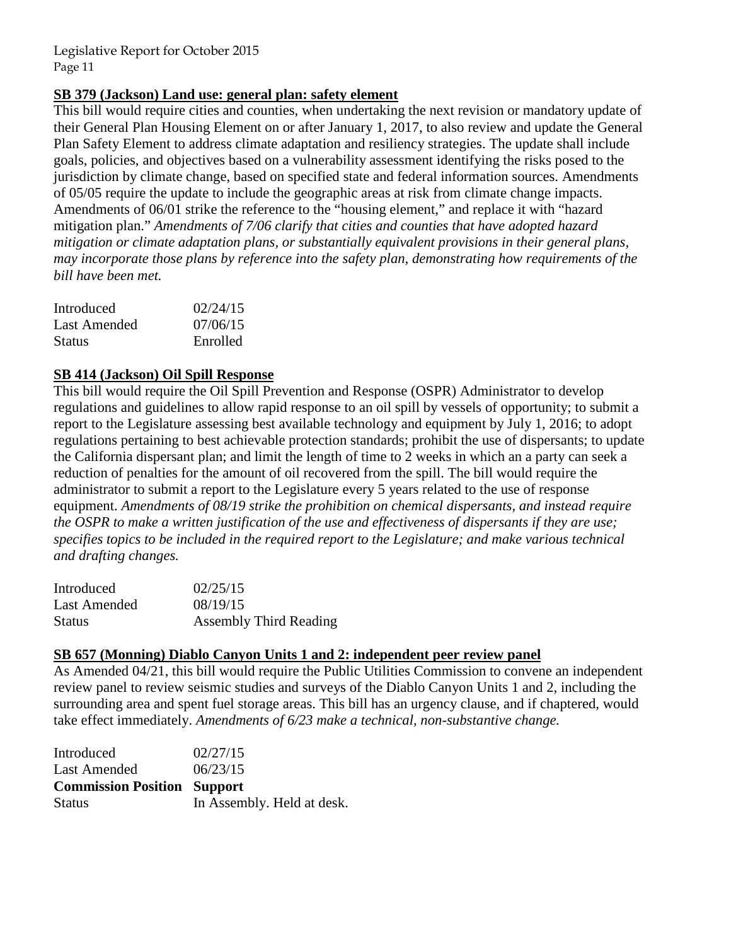#### **SB 379 (Jackson) Land use: general plan: safety element**

This bill would require cities and counties, when undertaking the next revision or mandatory update of their General Plan Housing Element on or after January 1, 2017, to also review and update the General Plan Safety Element to address climate adaptation and resiliency strategies. The update shall include goals, policies, and objectives based on a vulnerability assessment identifying the risks posed to the jurisdiction by climate change, based on specified state and federal information sources. Amendments of 05/05 require the update to include the geographic areas at risk from climate change impacts. Amendments of 06/01 strike the reference to the "housing element," and replace it with "hazard mitigation plan." *Amendments of 7/06 clarify that cities and counties that have adopted hazard mitigation or climate adaptation plans, or substantially equivalent provisions in their general plans, may incorporate those plans by reference into the safety plan, demonstrating how requirements of the bill have been met.*

| Introduced    | 02/24/15 |
|---------------|----------|
| Last Amended  | 07/06/15 |
| <b>Status</b> | Enrolled |

## **SB 414 (Jackson) Oil Spill Response**

This bill would require the Oil Spill Prevention and Response (OSPR) Administrator to develop regulations and guidelines to allow rapid response to an oil spill by vessels of opportunity; to submit a report to the Legislature assessing best available technology and equipment by July 1, 2016; to adopt regulations pertaining to best achievable protection standards; prohibit the use of dispersants; to update the California dispersant plan; and limit the length of time to 2 weeks in which an a party can seek a reduction of penalties for the amount of oil recovered from the spill. The bill would require the administrator to submit a report to the Legislature every 5 years related to the use of response equipment. *Amendments of 08/19 strike the prohibition on chemical dispersants, and instead require the OSPR to make a written justification of the use and effectiveness of dispersants if they are use; specifies topics to be included in the required report to the Legislature; and make various technical and drafting changes.* 

| Introduced   | 02/25/15                      |
|--------------|-------------------------------|
| Last Amended | 08/19/15                      |
| Status       | <b>Assembly Third Reading</b> |

## **SB 657 (Monning) Diablo Canyon Units 1 and 2: independent peer review panel**

As Amended 04/21, this bill would require the Public Utilities Commission to convene an independent review panel to review seismic studies and surveys of the Diablo Canyon Units 1 and 2, including the surrounding area and spent fuel storage areas. This bill has an urgency clause, and if chaptered, would take effect immediately. *Amendments of 6/23 make a technical, non-substantive change.* 

| Introduced                         | 02/27/15                   |
|------------------------------------|----------------------------|
| Last Amended                       | 06/23/15                   |
| <b>Commission Position Support</b> |                            |
| <b>Status</b>                      | In Assembly. Held at desk. |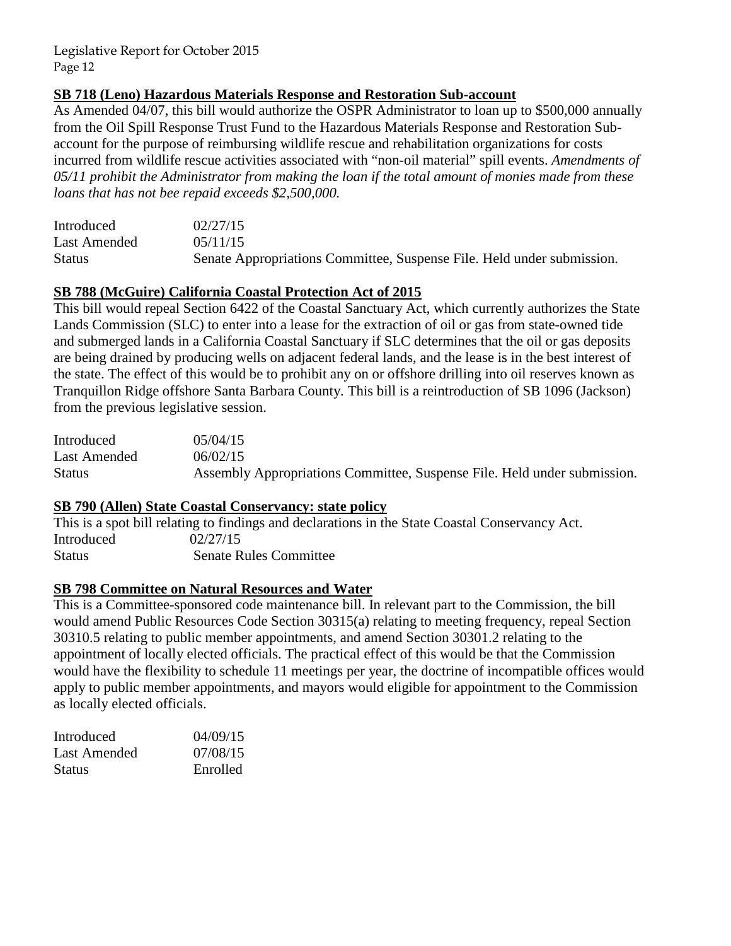## **SB 718 (Leno) Hazardous Materials Response and Restoration Sub-account**

As Amended 04/07, this bill would authorize the OSPR Administrator to loan up to \$500,000 annually from the Oil Spill Response Trust Fund to the Hazardous Materials Response and Restoration Subaccount for the purpose of reimbursing wildlife rescue and rehabilitation organizations for costs incurred from wildlife rescue activities associated with "non-oil material" spill events. *Amendments of 05/11 prohibit the Administrator from making the loan if the total amount of monies made from these loans that has not bee repaid exceeds \$2,500,000.* 

| Introduced    | 02/27/15                                                               |
|---------------|------------------------------------------------------------------------|
| Last Amended  | 0.5/11/15                                                              |
| <b>Status</b> | Senate Appropriations Committee, Suspense File. Held under submission. |

## **SB 788 (McGuire) California Coastal Protection Act of 2015**

This bill would repeal Section 6422 of the Coastal Sanctuary Act, which currently authorizes the State Lands Commission (SLC) to enter into a lease for the extraction of oil or gas from state-owned tide and submerged lands in a California Coastal Sanctuary if SLC determines that the oil or gas deposits are being drained by producing wells on adjacent federal lands, and the lease is in the best interest of the state. The effect of this would be to prohibit any on or offshore drilling into oil reserves known as Tranquillon Ridge offshore Santa Barbara County. This bill is a reintroduction of SB 1096 (Jackson) from the previous legislative session.

| Introduced    | 0.5/0.4/15                                                               |
|---------------|--------------------------------------------------------------------------|
| Last Amended  | 06/02/15                                                                 |
| <b>Status</b> | Assembly Appropriations Committee, Suspense File. Held under submission. |

#### **SB 790 (Allen) State Coastal Conservancy: state policy**

This is a spot bill relating to findings and declarations in the State Coastal Conservancy Act. Introduced 02/27/15 Status Senate Rules Committee

## **SB 798 Committee on Natural Resources and Water**

This is a Committee-sponsored code maintenance bill. In relevant part to the Commission, the bill would amend Public Resources Code Section 30315(a) relating to meeting frequency, repeal Section 30310.5 relating to public member appointments, and amend Section 30301.2 relating to the appointment of locally elected officials. The practical effect of this would be that the Commission would have the flexibility to schedule 11 meetings per year, the doctrine of incompatible offices would apply to public member appointments, and mayors would eligible for appointment to the Commission as locally elected officials.

| Introduced    | 04/09/15 |
|---------------|----------|
| Last Amended  | 07/08/15 |
| <b>Status</b> | Enrolled |